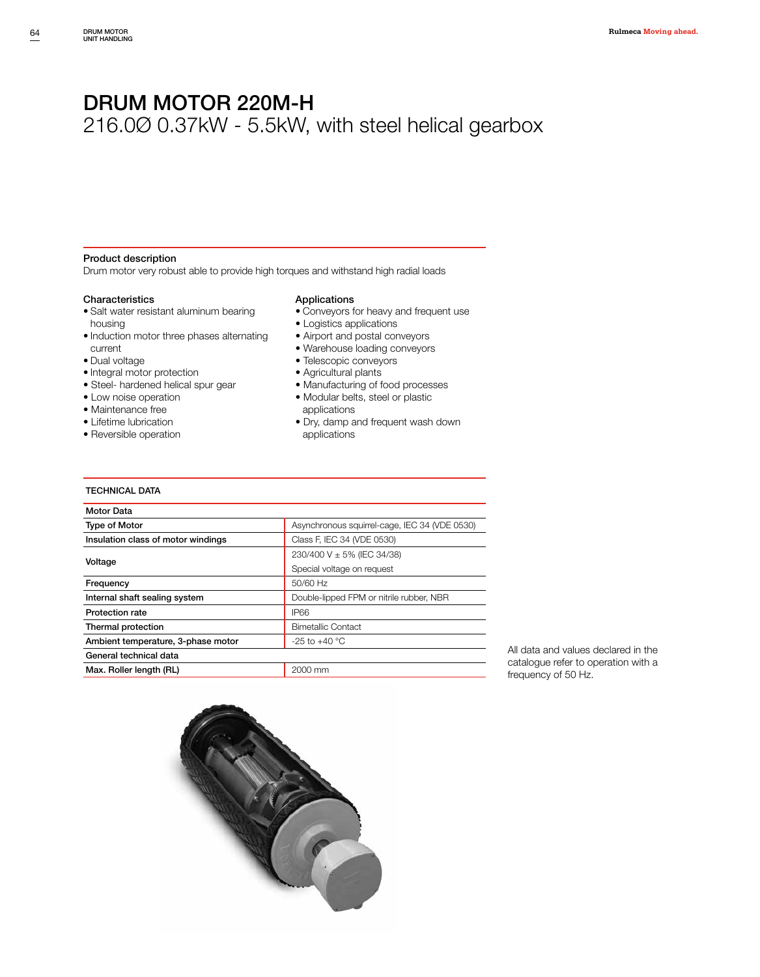216.0Ø 0.37kW - 5.5kW, with steel helical gearbox

#### Product description

Drum motor very robust able to provide high torques and withstand high radial loads

#### **Characteristics**

- Salt water resistant aluminum bearing housing
- Induction motor three phases alternating current
- Dual voltage
- Integral motor protection
- Steel- hardened helical spur gear
- Low noise operation
- Maintenance free
- Lifetime lubrication
- Reversible operation

#### Applications

- Conveyors for heavy and frequent use
- Logistics applications
- Airport and postal conveyors
- Warehouse loading conveyors
- Telescopic conveyors
- Agricultural plants
- Manufacturing of food processes
- Modular belts, steel or plastic
- applications
- Dry, damp and frequent wash down applications

#### TECHNICAL DATA

| Asynchronous squirrel-cage, IEC 34 (VDE 0530)<br><b>Type of Motor</b><br>Class F, IEC 34 (VDE 0530)<br>Insulation class of motor windings<br>230/400 V ± 5% (IEC 34/38)<br>Voltage<br>Special voltage on request<br>50/60 Hz<br>Frequency<br>Double-lipped FPM or nitrile rubber, NBR<br>Internal shaft sealing system<br><b>IP66</b><br><b>Protection rate</b><br><b>Bimetallic Contact</b><br>Thermal protection<br>Ambient temperature, 3-phase motor<br>$-25$ to $+40$ °C<br>General technical data<br>2000 mm<br>Max. Roller length (RL) | <b>Motor Data</b> |  |
|-----------------------------------------------------------------------------------------------------------------------------------------------------------------------------------------------------------------------------------------------------------------------------------------------------------------------------------------------------------------------------------------------------------------------------------------------------------------------------------------------------------------------------------------------|-------------------|--|
|                                                                                                                                                                                                                                                                                                                                                                                                                                                                                                                                               |                   |  |
|                                                                                                                                                                                                                                                                                                                                                                                                                                                                                                                                               |                   |  |
|                                                                                                                                                                                                                                                                                                                                                                                                                                                                                                                                               |                   |  |
|                                                                                                                                                                                                                                                                                                                                                                                                                                                                                                                                               |                   |  |
|                                                                                                                                                                                                                                                                                                                                                                                                                                                                                                                                               |                   |  |
|                                                                                                                                                                                                                                                                                                                                                                                                                                                                                                                                               |                   |  |
|                                                                                                                                                                                                                                                                                                                                                                                                                                                                                                                                               |                   |  |
|                                                                                                                                                                                                                                                                                                                                                                                                                                                                                                                                               |                   |  |
|                                                                                                                                                                                                                                                                                                                                                                                                                                                                                                                                               |                   |  |
|                                                                                                                                                                                                                                                                                                                                                                                                                                                                                                                                               |                   |  |
|                                                                                                                                                                                                                                                                                                                                                                                                                                                                                                                                               |                   |  |

All data and values declared in the catalogue refer to operation with a frequency of 50 Hz.

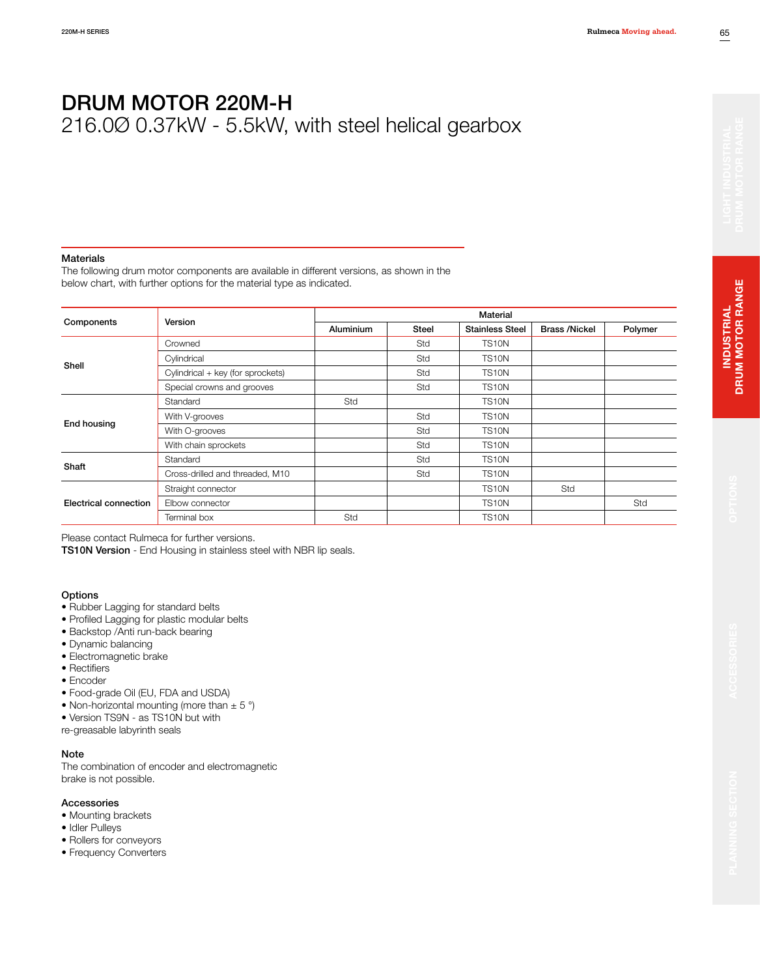216.0Ø 0.37kW - 5.5kW, with steel helical gearbox

#### Materials

The following drum motor components are available in different versions, as shown in the below chart, with further options for the material type as indicated.

|                       | Version                           | <b>Material</b> |              |                        |                      |         |  |  |  |  |
|-----------------------|-----------------------------------|-----------------|--------------|------------------------|----------------------|---------|--|--|--|--|
| Components            |                                   | Aluminium       | <b>Steel</b> | <b>Stainless Steel</b> | <b>Brass /Nickel</b> | Polymer |  |  |  |  |
|                       | Crowned                           |                 | Std          | <b>TS10N</b>           |                      |         |  |  |  |  |
| Shell                 | Cylindrical                       |                 | Std          | TS <sub>10N</sub>      |                      |         |  |  |  |  |
|                       | Cylindrical + key (for sprockets) |                 | Std          | <b>TS10N</b>           |                      |         |  |  |  |  |
|                       | Special crowns and grooves        |                 | Std          | TS <sub>10</sub> N     |                      |         |  |  |  |  |
|                       | Standard                          | Std             |              | TS <sub>10</sub> N     |                      |         |  |  |  |  |
|                       | With V-grooves                    |                 | Std          | TS <sub>10</sub> N     |                      |         |  |  |  |  |
| End housing           | With O-grooves                    |                 | Std          | <b>TS10N</b>           |                      |         |  |  |  |  |
|                       | With chain sprockets              |                 | Std          | TS <sub>10</sub> N     |                      |         |  |  |  |  |
|                       | Standard                          |                 | Std          | TS <sub>10</sub> N     |                      |         |  |  |  |  |
| Shaft                 | Cross-drilled and threaded, M10   |                 | Std          | TS <sub>10</sub> N     |                      |         |  |  |  |  |
|                       | Straight connector                |                 |              | <b>TS10N</b>           | Std                  |         |  |  |  |  |
| Electrical connection | Elbow connector                   |                 |              | TS <sub>10</sub> N     |                      | Std     |  |  |  |  |
|                       | Terminal box                      | Std             |              | <b>TS10N</b>           |                      |         |  |  |  |  |

Please contact Rulmeca for further versions.

TS10N Version - End Housing in stainless steel with NBR lip seals.

#### **Options**

- Rubber Lagging for standard belts
- Profiled Lagging for plastic modular belts
- Backstop /Anti run-back bearing
- Dynamic balancing
- Electromagnetic brake
- Rectifiers
- Encoder
- Food-grade Oil (EU, FDA and USDA)
- Non-horizontal mounting (more than  $\pm$  5 °)
- Version TS9N as TS10N but with
- re-greasable labyrinth seals

### Note

The combination of encoder and electromagnetic brake is not possible.

#### Accessories

- Mounting brackets
- Idler Pulleys
- Rollers for conveyors
- Frequency Converters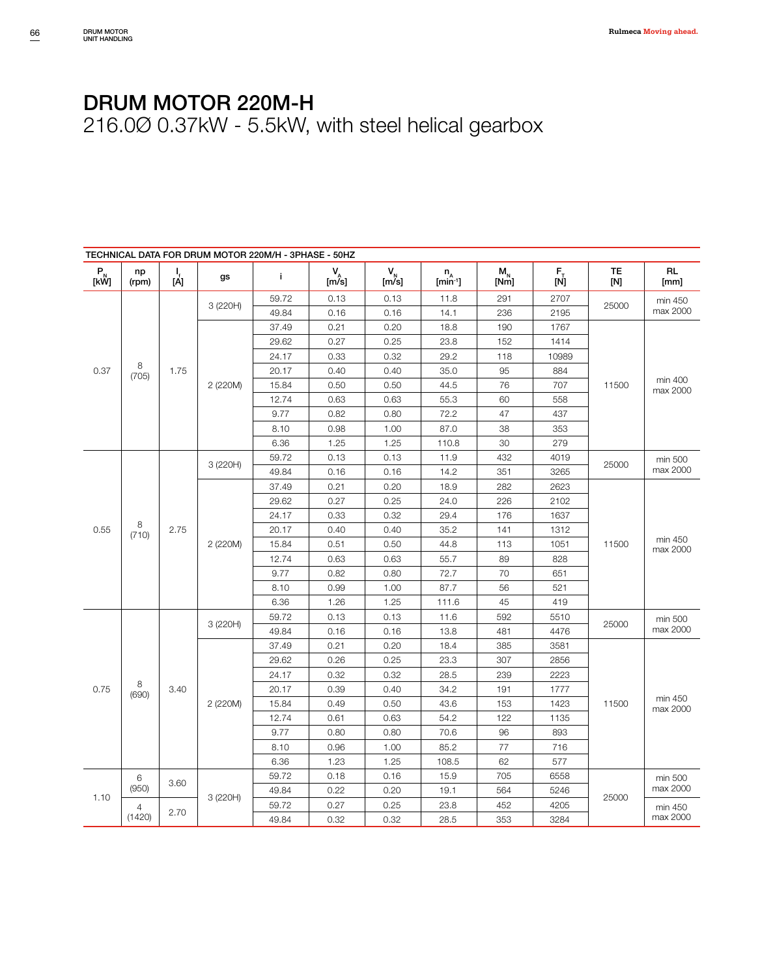| TECHNICAL DATA FOR DRUM MOTOR 220M/H - 3PHASE - 50HZ                                                     |                |                 |          |       |                                                       |             |                            |                                                              |                                                                        |           |                     |      |       |          |  |          |
|----------------------------------------------------------------------------------------------------------|----------------|-----------------|----------|-------|-------------------------------------------------------|-------------|----------------------------|--------------------------------------------------------------|------------------------------------------------------------------------|-----------|---------------------|------|-------|----------|--|----------|
| $\begin{array}{c} \mathsf{P}_{_{\!\!\mathsf{N}}} \ \mathsf{[}\mathsf{k}\mathsf{W}\mathsf{]} \end{array}$ | np<br>(rpm)    | $\frac{1}{[A]}$ | gs       | i.    | $V_{\stackrel{A}{\scriptscriptstyle \uparrow}}$ [m/s] | $V_N$ [m/s] | $n_A$ [min <sup>-1</sup> ] | $\begin{array}{c} \mathsf{M_n} \\ \mathrm{[Nm]} \end{array}$ | $\begin{bmatrix} \mathsf{F}_{\mathsf{T}} \ \mathsf{[N]} \end{bmatrix}$ | TE<br>[N] | <b>RL</b><br>[mm]   |      |       |          |  |          |
|                                                                                                          |                |                 | 3 (220H) | 59.72 | 0.13                                                  | 0.13        | 11.8                       | 291                                                          | 2707                                                                   | 25000     | min 450             |      |       |          |  |          |
|                                                                                                          |                |                 |          | 49.84 | 0.16                                                  | 0.16        | 14.1                       | 236                                                          | 2195                                                                   |           | max 2000            |      |       |          |  |          |
|                                                                                                          |                |                 |          | 37.49 | 0.21                                                  | 0.20        | 18.8                       | 190                                                          | 1767                                                                   |           |                     |      |       |          |  |          |
|                                                                                                          |                |                 |          | 29.62 | 0.27                                                  | 0.25        | 23.8                       | 152                                                          | 1414                                                                   |           |                     |      |       |          |  |          |
|                                                                                                          |                |                 |          | 24.17 | 0.33                                                  | 0.32        | 29.2                       | 118                                                          | 10989                                                                  |           |                     |      |       |          |  |          |
| 0.37                                                                                                     | 8<br>(705)     | 1.75            |          | 20.17 | 0.40                                                  | 0.40        | 35.0                       | 95                                                           | 884                                                                    |           |                     |      |       |          |  |          |
|                                                                                                          |                |                 | 2 (220M) | 15.84 | 0.50                                                  | 0.50        | 44.5                       | 76                                                           | 707                                                                    | 11500     | min 400<br>max 2000 |      |       |          |  |          |
|                                                                                                          |                |                 |          | 12.74 | 0.63                                                  | 0.63        | 55.3                       | 60                                                           | 558                                                                    |           |                     |      |       |          |  |          |
|                                                                                                          |                |                 |          | 9.77  | 0.82                                                  | 0.80        | 72.2                       | 47                                                           | 437                                                                    |           |                     |      |       |          |  |          |
|                                                                                                          |                |                 |          | 8.10  | 0.98                                                  | 1.00        | 87.0                       | 38                                                           | 353                                                                    |           |                     |      |       |          |  |          |
|                                                                                                          |                |                 |          | 6.36  | 1.25                                                  | 1.25        | 110.8                      | 30                                                           | 279                                                                    |           |                     |      |       |          |  |          |
|                                                                                                          |                |                 |          | 59.72 | 0.13                                                  | 0.13        | 11.9                       | 432                                                          | 4019                                                                   |           | min 500             |      |       |          |  |          |
|                                                                                                          |                |                 | 3 (220H) | 49.84 | 0.16                                                  | 0.16        | 14.2                       | 351                                                          | 3265                                                                   | 25000     | max 2000            |      |       |          |  |          |
|                                                                                                          |                |                 | 2 (220M) | 37.49 | 0.21                                                  | 0.20        | 18.9                       | 282                                                          | 2623                                                                   | 11500     | min 450<br>max 2000 |      |       |          |  |          |
|                                                                                                          |                |                 |          | 29.62 | 0.27                                                  | 0.25        | 24.0                       | 226                                                          | 2102                                                                   |           |                     |      |       |          |  |          |
|                                                                                                          |                |                 |          | 24.17 | 0.33                                                  | 0.32        | 29.4                       | 176                                                          | 1637                                                                   |           |                     |      |       |          |  |          |
| 0.55                                                                                                     | 8<br>(710)     | 2.75            |          | 20.17 | 0.40                                                  | 0.40        | 35.2                       | 141                                                          | 1312                                                                   |           |                     |      |       |          |  |          |
|                                                                                                          |                |                 |          | 15.84 | 0.51                                                  | 0.50        | 44.8                       | 113                                                          | 1051                                                                   |           |                     |      |       |          |  |          |
|                                                                                                          |                |                 |          | 12.74 | 0.63                                                  | 0.63        | 55.7                       | 89                                                           | 828                                                                    |           |                     |      |       |          |  |          |
|                                                                                                          |                |                 |          | 9.77  | 0.82                                                  | 0.80        | 72.7                       | 70                                                           | 651                                                                    |           |                     |      |       |          |  |          |
|                                                                                                          |                |                 |          | 8.10  | 0.99                                                  | 1.00        | 87.7                       | 56                                                           | 521                                                                    |           |                     |      |       |          |  |          |
|                                                                                                          |                |                 |          | 6.36  | 1.26                                                  | 1.25        | 111.6                      | 45                                                           | 419                                                                    |           |                     |      |       |          |  |          |
|                                                                                                          |                |                 |          |       |                                                       |             | 59.72                      | 0.13                                                         | 0.13                                                                   | 11.6      | 592                 | 5510 |       | min 500  |  |          |
|                                                                                                          |                |                 |          |       |                                                       | 3 (220H)    | 49.84                      | 0.16                                                         | 0.16                                                                   | 13.8      | 481                 | 4476 | 25000 | max 2000 |  |          |
|                                                                                                          |                |                 |          | 37.49 | 0.21                                                  | 0.20        | 18.4                       | 385                                                          | 3581                                                                   |           |                     |      |       |          |  |          |
|                                                                                                          |                |                 |          | 29.62 | 0.26                                                  | 0.25        | 23.3                       | 307                                                          | 2856                                                                   |           |                     |      |       |          |  |          |
|                                                                                                          |                |                 |          | 24.17 | 0.32                                                  | 0.32        | 28.5                       | 239                                                          | 2223                                                                   |           |                     |      |       |          |  |          |
| 0.75                                                                                                     | 8<br>(690)     | 3.40            |          | 20.17 | 0.39                                                  | 0.40        | 34.2                       | 191                                                          | 1777                                                                   |           |                     |      |       |          |  |          |
|                                                                                                          |                |                 | 2 (220M) | 15.84 | 0.49                                                  | 0.50        | 43.6                       | 153                                                          | 1423                                                                   | 11500     | min 450<br>max 2000 |      |       |          |  |          |
|                                                                                                          |                |                 |          | 12.74 | 0.61                                                  | 0.63        | 54.2                       | 122                                                          | 1135                                                                   |           |                     |      |       |          |  |          |
|                                                                                                          |                |                 |          | 9.77  | 0.80                                                  | 0.80        | 70.6                       | 96                                                           | 893                                                                    |           |                     |      |       |          |  |          |
|                                                                                                          |                |                 |          | 8.10  | 0.96                                                  | 1.00        | 85.2                       | 77                                                           | 716                                                                    |           |                     |      |       |          |  |          |
|                                                                                                          |                |                 |          | 6.36  | 1.23                                                  | 1.25        | 108.5                      | 62                                                           | 577                                                                    |           |                     |      |       |          |  |          |
|                                                                                                          | 6              |                 |          | 59.72 | 0.18                                                  | 0.16        | 15.9                       | 705                                                          | 6558                                                                   |           | min 500             |      |       |          |  |          |
|                                                                                                          | (950)          | 3.60            |          | 49.84 | 0.22                                                  | 0.20        | 19.1                       | 564                                                          | 5246                                                                   |           | max 2000            |      |       |          |  |          |
| 1.10                                                                                                     | $\overline{4}$ |                 | 3 (220H) | 59.72 | 0.27                                                  | 0.25        | 23.8                       | 452                                                          | 4205                                                                   | 25000     | min 450             |      |       |          |  |          |
|                                                                                                          | (1420)         |                 | 2.70     |       |                                                       |             |                            |                                                              | 49.84                                                                  | 0.32      | 0.32                | 28.5 | 353   | 3284     |  | max 2000 |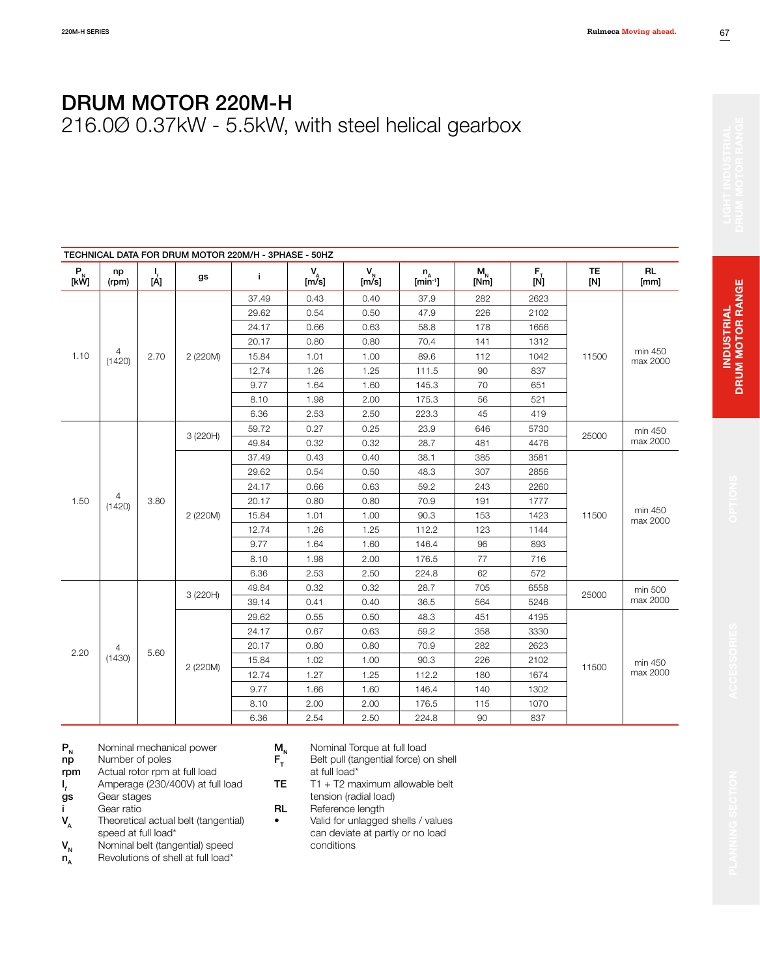DRUM MOTOR 220M-H 216.0Ø 0.37kW - 5.5kW, with steel helical gearbox

|            | TECHNICAL DATA FOR DRUM MOTOR 220M/H - 3PHASE - 50HZ |                 |          |          |                  |                |                            |                                    |                                                                     |                  |                     |         |     |  |
|------------|------------------------------------------------------|-----------------|----------|----------|------------------|----------------|----------------------------|------------------------------------|---------------------------------------------------------------------|------------------|---------------------|---------|-----|--|
| $P_N$ [kŴ] | np<br>(rpm)                                          | $\frac{1}{[A]}$ | gs       | j.       | $V_{A}$<br>[m/s] | $V_N$<br>[m/s] | $n_A$ [min <sup>-1</sup> ] | $\mathsf{M}_{_\mathsf{N}}$<br>[Nm] | $\begin{bmatrix} \mathsf{F}_{\bar{1}} \ \mathsf{[N]} \end{bmatrix}$ | <b>TE</b><br>[N] | <b>RL</b><br>[mm]   |         |     |  |
|            |                                                      |                 |          | 37.49    | 0.43             | 0.40           | 37.9                       | 282                                | 2623                                                                |                  |                     |         |     |  |
|            |                                                      |                 |          | 29.62    | 0.54             | 0.50           | 47.9                       | 226                                | 2102                                                                |                  |                     |         |     |  |
|            |                                                      |                 |          | 24.17    | 0.66             | 0.63           | 58.8                       | 178                                | 1656                                                                |                  |                     |         |     |  |
|            |                                                      |                 |          | 20.17    | 0.80             | 0.80           | 70.4                       | 141                                | 1312                                                                |                  |                     |         |     |  |
| 1.10       | 4<br>(1420)                                          | 2.70            | 2 (220M) | 15.84    | 1.01             | 1.00           | 89.6                       | 112                                | 1042                                                                | 11500            | min 450<br>max 2000 |         |     |  |
|            |                                                      |                 |          | 12.74    | 1.26             | 1.25           | 111.5                      | 90                                 | 837                                                                 |                  |                     |         |     |  |
|            |                                                      |                 |          | 9.77     | 1.64             | 1.60           | 145.3                      | 70                                 | 651                                                                 |                  |                     |         |     |  |
|            |                                                      |                 |          | 8.10     | 1.98             | 2.00           | 175.3                      | 56                                 | 521                                                                 |                  |                     |         |     |  |
|            |                                                      |                 |          |          | 6.36             | 2.53           | 2.50                       | 223.3                              | 45                                                                  | 419              |                     |         |     |  |
|            |                                                      |                 |          | 3 (220H) | 59.72            | 0.27           | 0.25                       | 23.9                               | 646                                                                 | 5730             |                     | min 450 |     |  |
|            |                                                      |                 |          | 49.84    | 0.32             | 0.32           | 28.7                       | 481                                | 4476                                                                | 25000            | max 2000            |         |     |  |
|            |                                                      |                 | 2 (220M) | 37.49    | 0.43             | 0.40           | 38.1                       | 385                                | 3581                                                                |                  | min 450<br>max 2000 |         |     |  |
|            |                                                      | 3.80            |          | 29.62    | 0.54             | 0.50           | 48.3                       | 307                                | 2856                                                                |                  |                     |         |     |  |
|            |                                                      |                 |          | 24.17    | 0.66             | 0.63           | 59.2                       | 243                                | 2260                                                                | 11500            |                     |         |     |  |
| 1.50       | 4<br>(1420)                                          |                 |          | 20.17    | 0.80             | 0.80           | 70.9                       | 191                                | 1777                                                                |                  |                     |         |     |  |
|            |                                                      |                 |          | 15.84    | 1.01             | 1.00           | 90.3                       | 153                                | 1423                                                                |                  |                     |         |     |  |
|            |                                                      |                 |          | 12.74    | 1.26             | 1.25           | 112.2                      | 123                                | 1144                                                                |                  |                     |         |     |  |
|            |                                                      |                 |          | 9.77     | 1.64             | 1.60           | 146.4                      | 96                                 | 893                                                                 |                  |                     |         |     |  |
|            |                                                      |                 |          | 8.10     | 1.98             | 2.00           | 176.5                      | 77                                 | 716                                                                 |                  |                     |         |     |  |
|            |                                                      |                 |          | 6.36     | 2.53             | 2.50           | 224.8                      | 62                                 | 572                                                                 |                  |                     |         |     |  |
|            |                                                      |                 |          | 49.84    | 0.32             | 0.32           | 28.7                       | 705                                | 6558                                                                |                  | min 500             |         |     |  |
|            |                                                      |                 | 3 (220H) | 39.14    | 0.41             | 0.40           | 36.5                       | 564                                | 5246                                                                | 25000            | max 2000            |         |     |  |
|            |                                                      |                 |          | 29.62    | 0.55             | 0.50           | 48.3                       | 451                                | 4195                                                                |                  |                     |         |     |  |
|            |                                                      |                 |          | 24.17    | 0.67             | 0.63           | 59.2                       | 358                                | 3330                                                                |                  |                     |         |     |  |
|            | 4                                                    | 5.60            |          | 20.17    | 0.80             | 0.80           | 70.9                       | 282                                | 2623                                                                |                  |                     |         |     |  |
| 2.20       | (1430)                                               |                 |          | 15.84    | 1.02             | 1.00           | 90.3                       | 226                                | 2102                                                                |                  | min 450             |         |     |  |
|            |                                                      |                 | 2 (220M) | 12.74    | 1.27             | 1.25           | 112.2                      | 180                                | 1674                                                                | 11500            | max 2000            |         |     |  |
|            |                                                      |                 |          | 9.77     | 1.66             | 1.60           | 146.4                      | 140                                | 1302                                                                |                  |                     |         |     |  |
|            |                                                      |                 |          | 8.10     | 2.00             | 2.00           | 176.5                      | 115                                | 1070                                                                |                  |                     |         |     |  |
|            |                                                      |                 |          |          |                  |                |                            | 6.36                               | 2.54                                                                | 2.50             | 224.8               | 90      | 837 |  |

 $P_N$  Nominal mechanical power<br> **np** Number of poles

- Number of poles
- rpm Actual rotor rpm at full load
- $I_f$ *f<sub>f</sub>* Amperage (230/400V) at full load **gs** Gear stages
- Gear stages
- $V_A$  Gear ratio
- Theoretical actual belt (tangential) speed at full load\*
- 
- $V_{N}$  Nominal belt (tangential) speed<br> $n_A$  Revolutions of shell at full load\* Revolutions of shell at full load\*
- 
- $M_N$  Nominal Torque at full load<br> $F_T$  Belt pull (tangential force) c Belt pull (tangential force) on shell at full load\*
- **TE**  $T1 + T2$  maximum allowable belt tension (radial load)
- RL Reference length
- Valid for unlagged shells / values can deviate at partly or no load conditions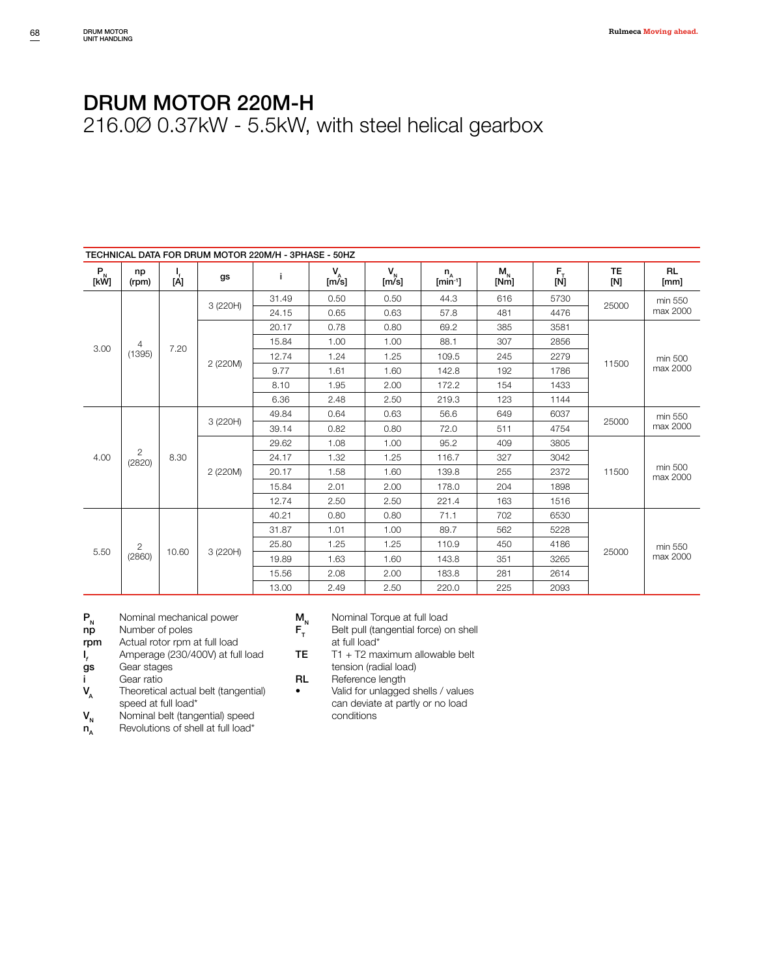|            | TECHNICAL DATA FOR DRUM MOTOR 220M/H - 3PHASE - 50HZ |          |          |       |               |             |                         |                 |                                                                        |                  |                   |       |          |       |                     |  |
|------------|------------------------------------------------------|----------|----------|-------|---------------|-------------|-------------------------|-----------------|------------------------------------------------------------------------|------------------|-------------------|-------|----------|-------|---------------------|--|
| $P_N$ [kŴ] | np<br>(rpm)                                          | ا<br>[A] | gs       | j.    | $V_{A}$ [m/s] | $V_N$ [m/s] | $n_{A}$<br>$[min^{-1}]$ | $M_{N}$<br>[Nm] | $\begin{bmatrix} \mathsf{F}_{\mathsf{T}} \ \mathsf{[N]} \end{bmatrix}$ | <b>TE</b><br>[N] | <b>RL</b><br>[mm] |       |          |       |                     |  |
|            |                                                      |          | 3 (220H) | 31.49 | 0.50          | 0.50        | 44.3                    | 616             | 5730                                                                   | 25000            | min 550           |       |          |       |                     |  |
|            |                                                      |          |          | 24.15 | 0.65          | 0.63        | 57.8                    | 481             | 4476                                                                   |                  | max 2000          |       |          |       |                     |  |
|            |                                                      |          |          | 20.17 | 0.78          | 0.80        | 69.2                    | 385             | 3581                                                                   |                  |                   |       |          |       |                     |  |
| 3.00       | 4                                                    | 7.20     |          | 15.84 | 1.00          | 1.00        | 88.1                    | 307             | 2856                                                                   |                  |                   |       |          |       |                     |  |
|            | (1395)                                               |          |          | 12.74 | 1.24          | 1.25        | 109.5                   | 245             | 2279                                                                   | 11500            | min 500           |       |          |       |                     |  |
|            |                                                      |          | 2 (220M) | 9.77  | 1.61          | 1.60        | 142.8                   | 192             | 1786                                                                   |                  | max 2000          |       |          |       |                     |  |
|            |                                                      |          |          | 8.10  | 1.95          | 2.00        | 172.2                   | 154             | 1433                                                                   |                  |                   |       |          |       |                     |  |
|            |                                                      |          |          | 6.36  | 2.48          | 2.50        | 219.3                   | 123             | 1144                                                                   |                  |                   |       |          |       |                     |  |
|            |                                                      |          |          | 49.84 | 0.64          | 0.63        | 56.6                    | 649             | 6037                                                                   | 25000            | min 550           |       |          |       |                     |  |
|            |                                                      |          | 3 (220H) | 39.14 | 0.82          | 0.80        | 72.0                    | 511             | 4754                                                                   |                  | max 2000          |       |          |       |                     |  |
|            |                                                      | 8.30     |          |       |               |             |                         |                 | 29.62                                                                  | 1.08             | 1.00              | 95.2  | 409      | 3805  |                     |  |
| 4.00       | $\overline{2}$<br>(2820)                             |          |          | 24.17 | 1.32          | 1.25        | 116.7                   | 327             | 3042                                                                   |                  |                   |       |          |       |                     |  |
|            |                                                      |          |          |       |               |             | 2 (220M)                | 20.17           | 1.58                                                                   | 1.60             | 139.8             | 255   | 2372     | 11500 | min 500<br>max 2000 |  |
|            |                                                      |          |          |       |               |             | 15.84                   | 2.01            | 2.00                                                                   | 178.0            | 204               | 1898  |          |       |                     |  |
|            |                                                      |          |          | 12.74 | 2.50          | 2.50        | 221.4                   | 163             | 1516                                                                   |                  |                   |       |          |       |                     |  |
|            |                                                      |          |          | 40.21 | 0.80          | 0.80        | 71.1                    | 702             | 6530                                                                   |                  |                   |       |          |       |                     |  |
|            |                                                      |          |          | 31.87 | 1.01          | 1.00        | 89.7                    | 562             | 5228                                                                   |                  |                   |       |          |       |                     |  |
|            | $\overline{2}$                                       |          |          | 25.80 | 1.25          | 1.25        | 110.9                   | 450             | 4186                                                                   |                  | min 550           |       |          |       |                     |  |
| 5.50       | (2860)                                               | 10.60    |          |       | 3 (220H)      | 19.89       | 1.63                    | 1.60            | 143.8                                                                  | 351              | 3265              | 25000 | max 2000 |       |                     |  |
|            |                                                      |          |          |       |               | 15.56       | 2.08                    | 2.00            | 183.8                                                                  | 281              | 2614              |       |          |       |                     |  |
|            |                                                      |          |          |       | 13.00         | 2.49        | 2.50                    | 220.0           | 225                                                                    | 2093             |                   |       |          |       |                     |  |

- $P_N$  Nominal mechanical power<br> **np** Number of poles
- np Number of poles<br>rpm Actual rotor rpm
- Actual rotor rpm at full load
- $I_f$ *f*<br>**gs** Gear stages<br>**gs** Gear stages
- Gear stages
- 
- $V_{A}$  Gear ratio Theoretical actual belt (tangential) speed at full load\*
- $V_{N}$  Nominal belt (tangential) speed<br> $n_A$  Revolutions of shell at full load\*
- Revolutions of shell at full load\*
- 
- $M_N$  Nominal Torque at full load<br> $F_T$  Belt pull (tangential force) c Belt pull (tangential force) on shell at full load\*
- **TE**  $T1 + T2$  maximum allowable belt tension (radial load)
- RL Reference length
- Valid for unlagged shells / values can deviate at partly or no load conditions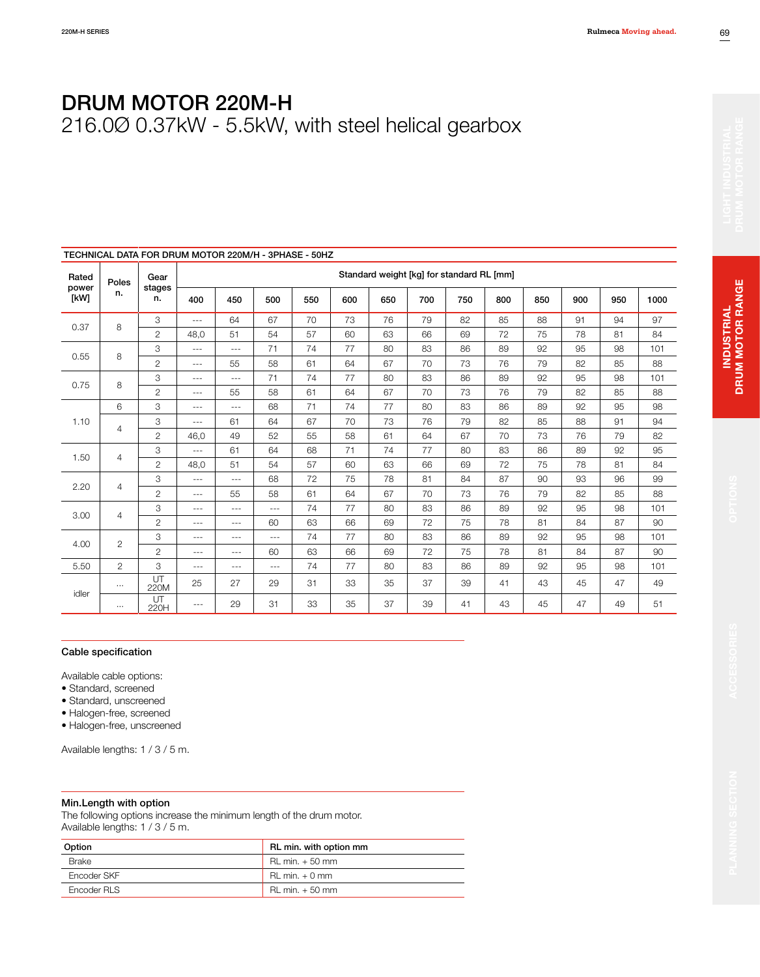216.0Ø 0.37kW - 5.5kW, with steel helical gearbox

|               | TECHNICAL DATA FOR DRUM MOTOR 220M/H - 3PHASE - 50HZ |                |          |          |          |     |     |                                           |     |     |     |     |     |     |      |
|---------------|------------------------------------------------------|----------------|----------|----------|----------|-----|-----|-------------------------------------------|-----|-----|-----|-----|-----|-----|------|
| Rated         | Poles                                                | Gear           |          |          |          |     |     | Standard weight [kg] for standard RL [mm] |     |     |     |     |     |     |      |
| power<br>[kW] | n.                                                   | stages<br>n.   | 400      | 450      | 500      | 550 | 600 | 650                                       | 700 | 750 | 800 | 850 | 900 | 950 | 1000 |
| 0.37          |                                                      | 3              | $\cdots$ | 64       | 67       | 70  | 73  | 76                                        | 79  | 82  | 85  | 88  | 91  | 94  | 97   |
|               | 8                                                    | $\overline{c}$ | 48,0     | 51       | 54       | 57  | 60  | 63                                        | 66  | 69  | 72  | 75  | 78  | 81  | 84   |
|               |                                                      | 3              | $- - -$  | $---$    | 71       | 74  | 77  | 80                                        | 83  | 86  | 89  | 92  | 95  | 98  | 101  |
| 0.55          | 8                                                    | $\overline{c}$ | $\cdots$ | 55       | 58       | 61  | 64  | 67                                        | 70  | 73  | 76  | 79  | 82  | 85  | 88   |
|               |                                                      | 3              | $- - -$  | $\cdots$ | 71       | 74  | 77  | 80                                        | 83  | 86  | 89  | 92  | 95  | 98  | 101  |
| 0.75          | 8                                                    | $\overline{c}$ | $- - -$  | 55       | 58       | 61  | 64  | 67                                        | 70  | 73  | 76  | 79  | 82  | 85  | 88   |
|               | 6                                                    | 3              | $\cdots$ | $- - -$  | 68       | 71  | 74  | 77                                        | 80  | 83  | 86  | 89  | 92  | 95  | 98   |
| 1.10          | 4                                                    | 3              | $- - -$  | 61       | 64       | 67  | 70  | 73                                        | 76  | 79  | 82  | 85  | 88  | 91  | 94   |
|               |                                                      | $\overline{c}$ | 46,0     | 49       | 52       | 55  | 58  | 61                                        | 64  | 67  | 70  | 73  | 76  | 79  | 82   |
|               |                                                      | 3              | $- - -$  | 61       | 64       | 68  | 71  | 74                                        | 77  | 80  | 83  | 86  | 89  | 92  | 95   |
| 1.50          | $\overline{4}$                                       | $\overline{c}$ | 48.0     | 51       | 54       | 57  | 60  | 63                                        | 66  | 69  | 72  | 75  | 78  | 81  | 84   |
|               |                                                      | 3              | $- - -$  | $- - -$  | 68       | 72  | 75  | 78                                        | 81  | 84  | 87  | 90  | 93  | 96  | 99   |
| 2.20          | 4                                                    | $\overline{2}$ | $---$    | 55       | 58       | 61  | 64  | 67                                        | 70  | 73  | 76  | 79  | 82  | 85  | 88   |
|               |                                                      | 3              | $\cdots$ | $- - -$  | $- - -$  | 74  | 77  | 80                                        | 83  | 86  | 89  | 92  | 95  | 98  | 101  |
| 3.00          | 4                                                    | $\overline{c}$ | $- - -$  | $- - -$  | 60       | 63  | 66  | 69                                        | 72  | 75  | 78  | 81  | 84  | 87  | 90   |
|               |                                                      | 3              | $- - -$  | $- - -$  | $---$    | 74  | 77  | 80                                        | 83  | 86  | 89  | 92  | 95  | 98  | 101  |
| 4.00          | $\overline{c}$                                       | $\overline{2}$ | $---$    | $- - -$  | 60       | 63  | 66  | 69                                        | 72  | 75  | 78  | 81  | 84  | 87  | 90   |
| 5.50          | $\overline{2}$                                       | 3              | $- - -$  | $- - -$  | $\cdots$ | 74  | 77  | 80                                        | 83  | 86  | 89  | 92  | 95  | 98  | 101  |
| idler         | $\cdots$                                             | UT<br>220M     | 25       | 27       | 29       | 31  | 33  | 35                                        | 37  | 39  | 41  | 43  | 45  | 47  | 49   |
|               | $\cdots$                                             | UT<br>220H     | $- - -$  | 29       | 31       | 33  | 35  | 37                                        | 39  | 41  | 43  | 45  | 47  | 49  | 51   |

#### Cable specification

Available cable options:

• Standard, screened

• Standard, unscreened

• Halogen-free, screened

• Halogen-free, unscreened

Available lengths: 1 / 3 / 5 m.

#### Min.Length with option

The following options increase the minimum length of the drum motor. Available lengths: 1 / 3 / 5 m.

| Option       | RL min. with option mm |
|--------------|------------------------|
| <b>Brake</b> | $RL min. + 50 mm$      |
| Encoder SKF  | $RL min. + 0 mm$       |
| Encoder RLS  | $RL min. + 50 mm$      |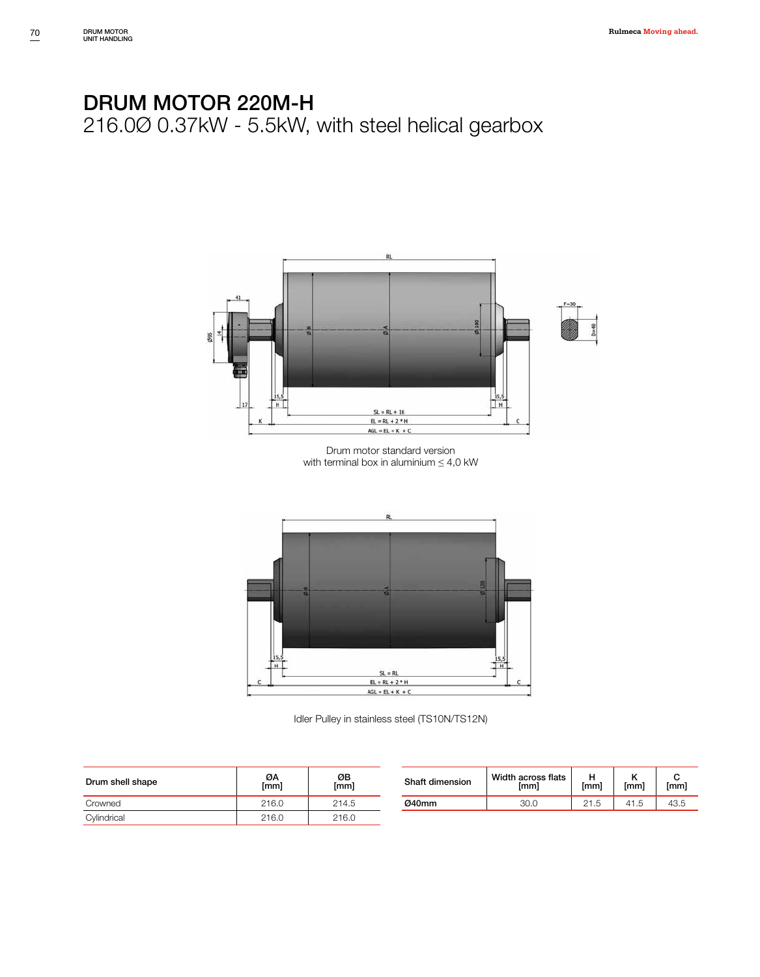

Drum motor standard version with terminal box in aluminium  $\leq 4.0$  kW



Idler Pulley in stainless steel (TS10N/TS12N)

| Drum shell shape | ØA<br>[mm] | ØΒ<br>[mm] | Shaft dimension | Width across flats<br>[mm] | [mm] | [mm]      | [mm] |
|------------------|------------|------------|-----------------|----------------------------|------|-----------|------|
| Crowned          | 216.0      | 214.5      | Ø40mm           | 30.0                       | 21.5 | 41<br>ن ا | 43.5 |
| Cylindrical      | 216.0      | 216.0      |                 |                            |      |           |      |